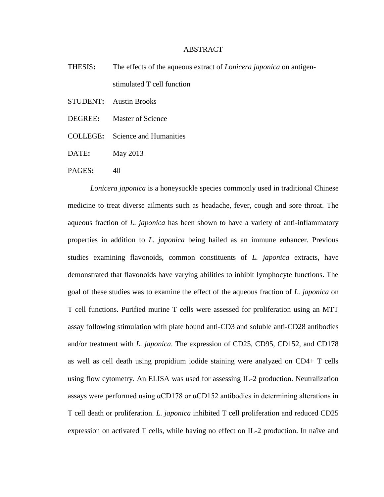## ABSTRACT

- THESIS**:** The effects of the aqueous extract of *Lonicera japonica* on antigenstimulated T cell function
- STUDENT**:** Austin Brooks
- DEGREE**:** Master of Science
- COLLEGE**:** Science and Humanities
- DATE**:** May 2013
- PAGES: 40

*Lonicera japonica* is a honeysuckle species commonly used in traditional Chinese medicine to treat diverse ailments such as headache, fever, cough and sore throat. The aqueous fraction of *L. japonica* has been shown to have a variety of anti-inflammatory properties in addition to *L. japonica* being hailed as an immune enhancer. Previous studies examining flavonoids, common constituents of *L. japonica* extracts, have demonstrated that flavonoids have varying abilities to inhibit lymphocyte functions. The goal of these studies was to examine the effect of the aqueous fraction of *L. japonica* on T cell functions. Purified murine T cells were assessed for proliferation using an MTT assay following stimulation with plate bound anti-CD3 and soluble anti-CD28 antibodies and/or treatment with *L. japonica*. The expression of CD25, CD95, CD152, and CD178 as well as cell death using propidium iodide staining were analyzed on CD4+ T cells using flow cytometry. An ELISA was used for assessing IL-2 production. Neutralization assays were performed using αCD178 or αCD152 antibodies in determining alterations in T cell death or proliferation. *L. japonica* inhibited T cell proliferation and reduced CD25 expression on activated T cells, while having no effect on IL-2 production. In naïve and